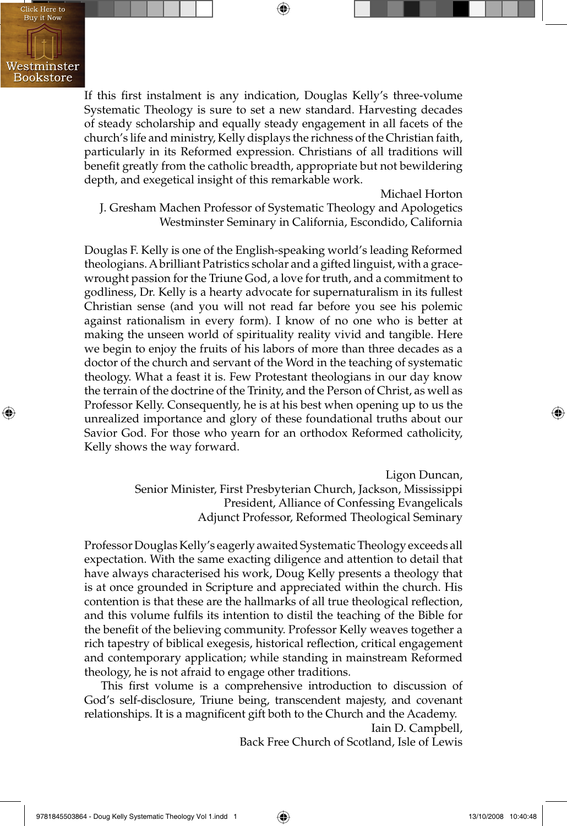

⊕

If this first instalment is any indication, Douglas Kelly's three-volume Systematic Theology is sure to set a new standard. Harvesting decades of steady scholarship and equally steady engagement in all facets of the church's life and ministry, Kelly displays the richness of the Christian faith, particularly in its Reformed expression. Christians of all traditions will benefit greatly from the catholic breadth, appropriate but not bewildering depth, and exegetical insight of this remarkable work.

⊕

Michael Horton

J. Gresham Machen Professor of Systematic Theology and Apologetics Westminster Seminary in California, Escondido, California

Douglas F. Kelly is one of the English-speaking world's leading Reformed theologians. A brilliant Patristics scholar and a gifted linguist, with a gracewrought passion for the Triune God, a love for truth, and a commitment to godliness, Dr. Kelly is a hearty advocate for supernaturalism in its fullest Christian sense (and you will not read far before you see his polemic against rationalism in every form). I know of no one who is better at making the unseen world of spirituality reality vivid and tangible. Here we begin to enjoy the fruits of his labors of more than three decades as a doctor of the church and servant of the Word in the teaching of systematic theology. What a feast it is. Few Protestant theologians in our day know the terrain of the doctrine of the Trinity, and the Person of Christ, as well as Professor Kelly. Consequently, he is at his best when opening up to us the unrealized importance and glory of these foundational truths about our Savior God. For those who yearn for an orthodox Reformed catholicity, Kelly shows the way forward.

> Ligon Duncan, Senior Minister, First Presbyterian Church, Jackson, Mississippi President, Alliance of Confessing Evangelicals Adjunct Professor, Reformed Theological Seminary

Professor Douglas Kelly's eagerly awaited Systematic Theology exceeds all expectation. With the same exacting diligence and attention to detail that have always characterised his work, Doug Kelly presents a theology that is at once grounded in Scripture and appreciated within the church. His contention is that these are the hallmarks of all true theological reflection, and this volume fulfils its intention to distil the teaching of the Bible for the benefit of the believing community. Professor Kelly weaves together a rich tapestry of biblical exegesis, historical reflection, critical engagement and contemporary application; while standing in mainstream Reformed theology, he is not afraid to engage other traditions.

This first volume is a comprehensive introduction to discussion of God's self-disclosure, Triune being, transcendent majesty, and covenant relationships. It is a magnificent gift both to the Church and the Academy.

Iain D. Campbell,

Back Free Church of Scotland, Isle of Lewis

9781845503864 - Doug Kelly Systematic Theology Vol 1.indd 1 781846503864 13/10/2008 10:40:48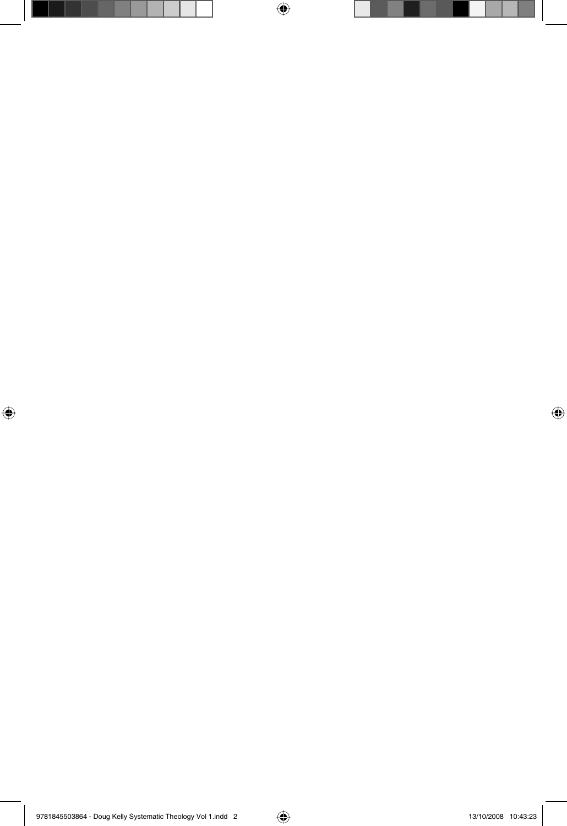

 $\bigoplus$ 

┐

 $\bigoplus$ 

 $\Box$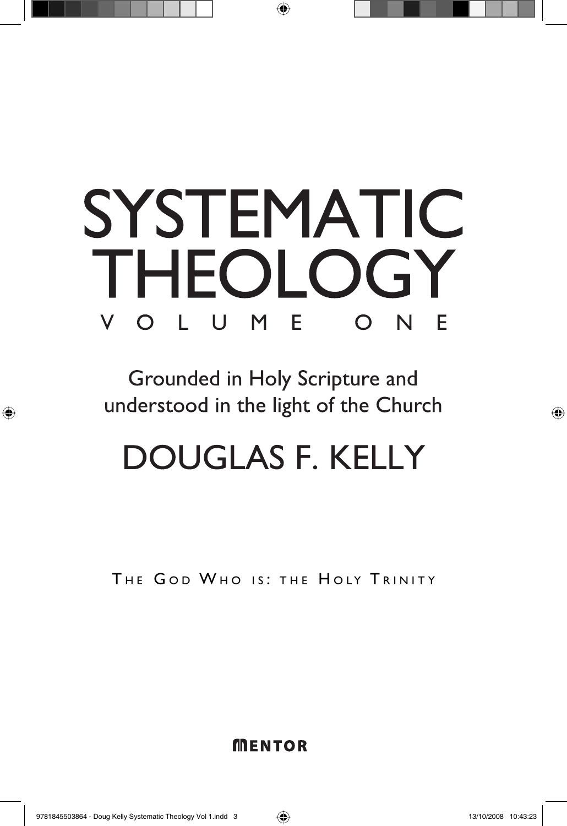### SYSTEMATIC THEOLOGY L U  $M E$  $\bigcap$  $\Omega$ N F

 $\bigoplus$ 

Grounded in Holy Scripture and understood in the light of the Church

# **DOUGLAS F. KELLY**

THE GOD WHO IS: THE HOLY TRINITY

**MENTOR** 

⊕

◈

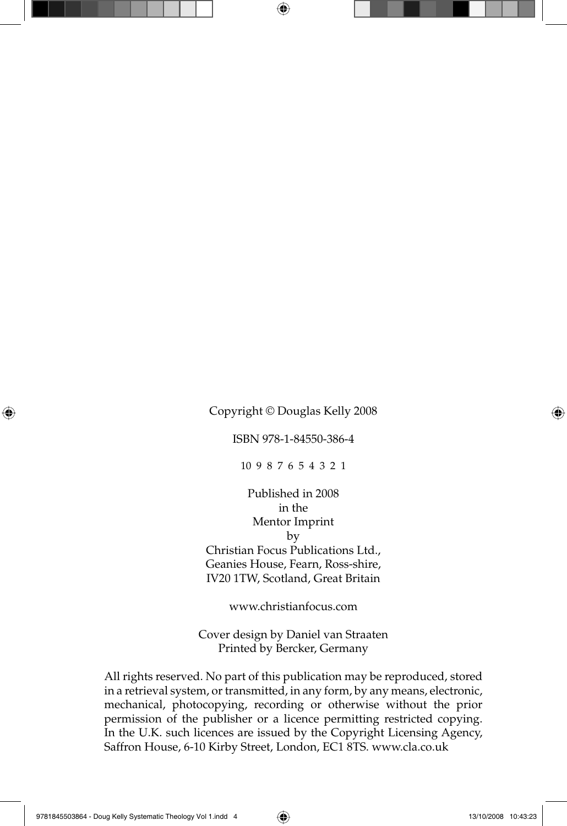Copyright © Douglas Kelly 2008

⊕

ISBN 978-1-84550-386-4

10 9 8 7 6 5 4 3 2 1

Published in 2008 in the Mentor Imprint by Christian Focus Publications Ltd., Geanies House, Fearn, Ross-shire, IV20 1TW, Scotland, Great Britain

www.christianfocus.com

Cover design by Daniel van Straaten Printed by Bercker, Germany

All rights reserved. No part of this publication may be reproduced, stored in a retrieval system, or transmitted, in any form, by any means, electronic, mechanical, photocopying, recording or otherwise without the prior permission of the publisher or a licence permitting restricted copying. In the U.K. such licences are issued by the Copyright Licensing Agency, Saffron House, 6-10 Kirby Street, London, EC1 8TS. www.cla.co.uk

⊕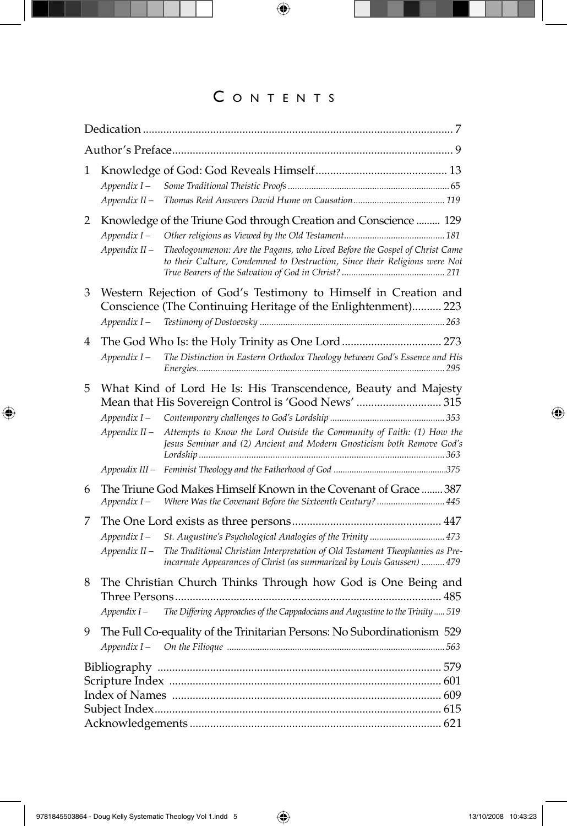### C ONTENTS

 $\bigoplus$ 

| 1 | Appendix I –<br>Appendix II -                                                                                                                      |                                                                                                                                                                                                                                                                         |  |
|---|----------------------------------------------------------------------------------------------------------------------------------------------------|-------------------------------------------------------------------------------------------------------------------------------------------------------------------------------------------------------------------------------------------------------------------------|--|
| 2 | Appendix I-<br>$Appendix II -$                                                                                                                     | Knowledge of the Triune God through Creation and Conscience  129<br>Theologoumenon: Are the Pagans, who Lived Before the Gospel of Christ Came<br>to their Culture, Condemned to Destruction, Since their Religions were Not                                            |  |
| 3 | Western Rejection of God's Testimony to Himself in Creation and<br>Conscience (The Continuing Heritage of the Enlightenment) 223<br>$Appendix I -$ |                                                                                                                                                                                                                                                                         |  |
| 4 | Appendix I –                                                                                                                                       | The Distinction in Eastern Orthodox Theology between God's Essence and His                                                                                                                                                                                              |  |
| 5 | Appendix I –<br>$Appendix II -$                                                                                                                    | What Kind of Lord He Is: His Transcendence, Beauty and Majesty<br>Mean that His Sovereign Control is 'Good News'  315<br>Attempts to Know the Lord Outside the Community of Faith: (1) How the<br>Jesus Seminar and (2) Ancient and Modern Gnosticism both Remove God's |  |
| 6 | Appendix I –                                                                                                                                       | The Triune God Makes Himself Known in the Covenant of Grace  387<br>Where Was the Covenant Before the Sixteenth Century?  445                                                                                                                                           |  |
| 7 | $Appendix I -$<br>$Appendix II -$                                                                                                                  | St. Augustine's Psychological Analogies of the Trinity  473<br>The Traditional Christian Interpretation of Old Testament Theophanies as Pre-<br>incarnate Appearances of Christ (as summarized by Louis Gaussen)  479                                                   |  |
| 8 | $Appendix I -$                                                                                                                                     | The Christian Church Thinks Through how God is One Being and<br>The Differing Approaches of the Cappadocians and Augustine to the Trinity  519                                                                                                                          |  |
| 9 |                                                                                                                                                    | The Full Co-equality of the Trinitarian Persons: No Subordinationism 529                                                                                                                                                                                                |  |
|   |                                                                                                                                                    |                                                                                                                                                                                                                                                                         |  |

 $\bigoplus$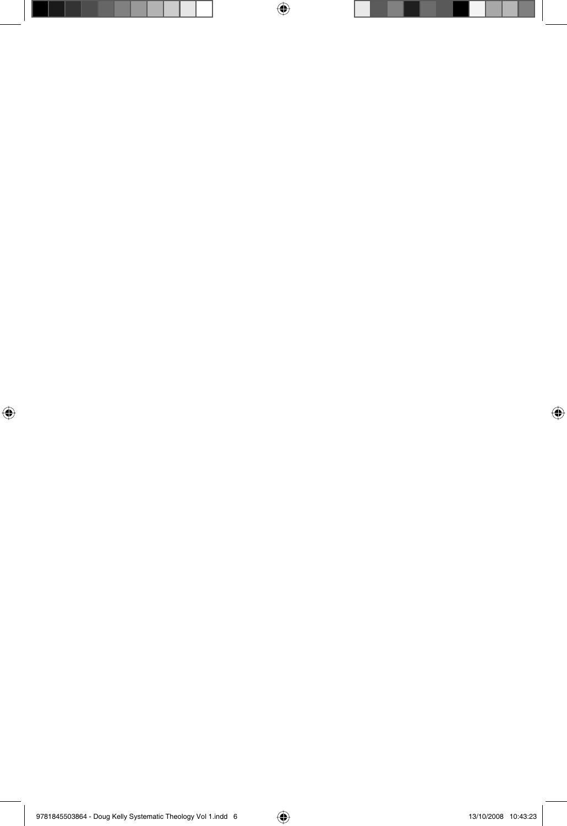

 $\bigoplus$ 

┐

 $\bigoplus$ 

 $\Box$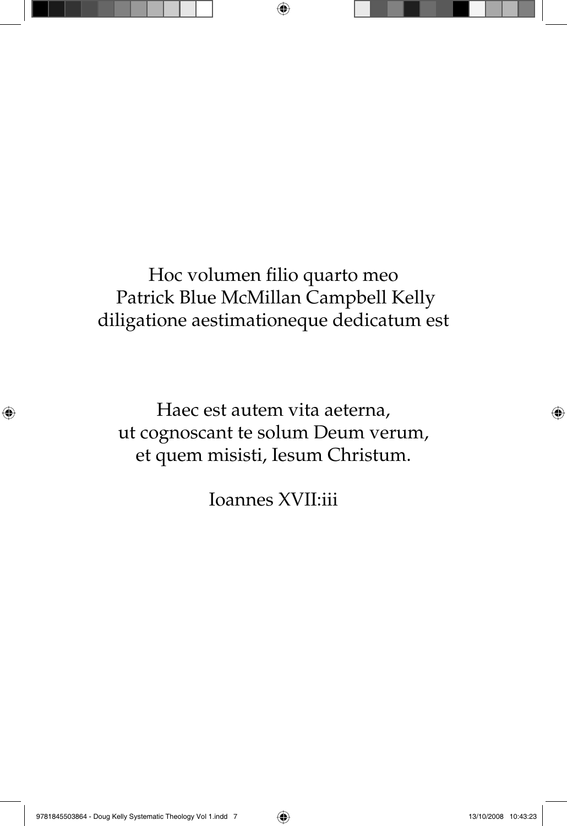## Hoc volumen filio quarto meo Patrick Blue McMillan Campbell Kelly diligatione aestimationeque dedicatum est

 $\bigoplus$ 

Haec est autem vita aeterna, ut cognoscant te solum Deum verum, et quem misisti, Iesum Christum.

Ioannes XVII:iii

⊕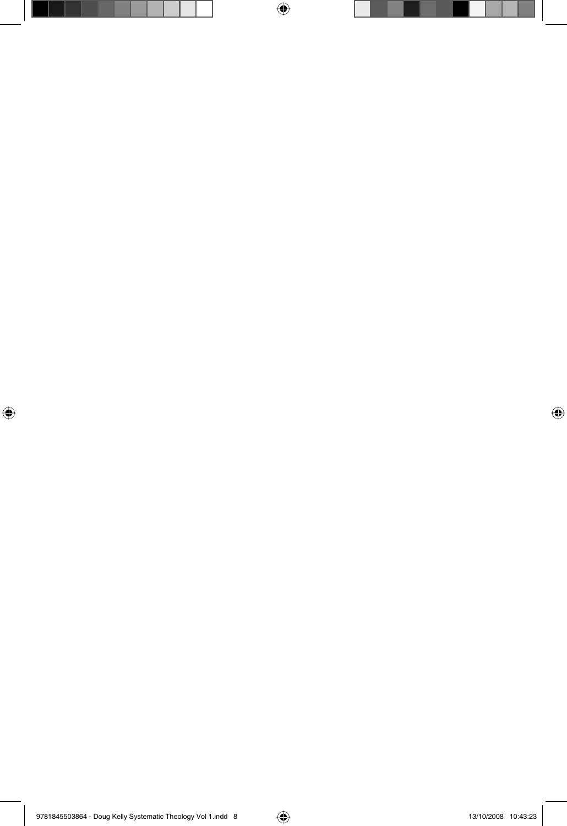

 $\bigoplus$ 

┐

 $\bigoplus$ 

 $\Box$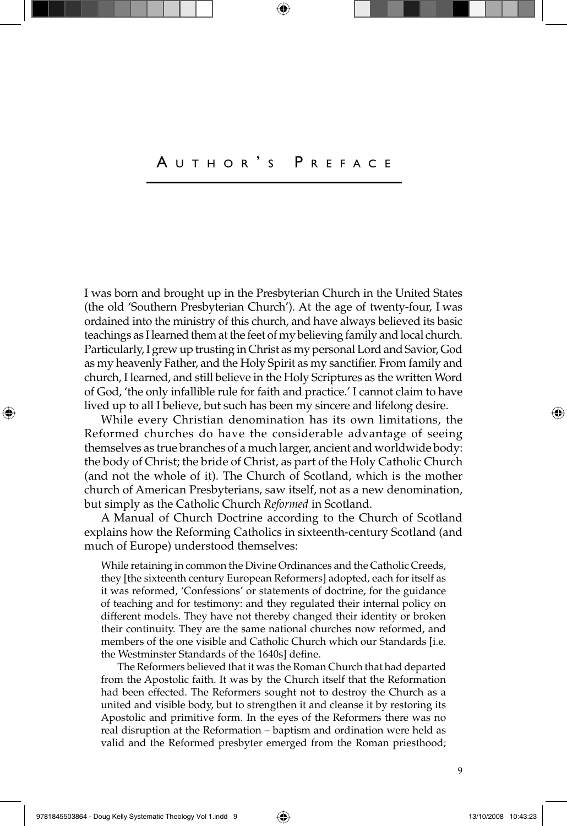#### AUTHOR'S PREFACE

I was born and brought up in the Presbyterian Church in the United States (the old 'Southern Presbyterian Church'). At the age of twenty-four, I was ordained into the ministry of this church, and have always believed its basic teachings as I learned them at the feet of my believing family and local church. Particularly, I grew up trusting in Christ as my personal Lord and Savior, God as my heavenly Father, and the Holy Spirit as my sanctifier. From family and church, I learned, and still believe in the Holy Scriptures as the written Word of God, 'the only infallible rule for faith and practice.' I cannot claim to have lived up to all I believe, but such has been my sincere and lifelong desire.

While every Christian denomination has its own limitations, the Reformed churches do have the considerable advantage of seeing themselves as true branches of a much larger, ancient and worldwide body: the body of Christ; the bride of Christ, as part of the Holy Catholic Church (and not the whole of it). The Church of Scotland, which is the mother church of American Presbyterians, saw itself, not as a new denomination, but simply as the Catholic Church *Reformed* in Scotland.

A Manual of Church Doctrine according to the Church of Scotland explains how the Reforming Catholics in sixteenth-century Scotland (and much of Europe) understood themselves:

While retaining in common the Divine Ordinances and the Catholic Creeds, they [the sixteenth century European Reformers] adopted, each for itself as it was reformed, 'Confessions' or statements of doctrine, for the guidance of teaching and for testimony: and they regulated their internal policy on different models. They have not thereby changed their identity or broken their continuity. They are the same national churches now reformed, and members of the one visible and Catholic Church which our Standards [i.e. the Westminster Standards of the 1640s] define.

The Reformers believed that it was the Roman Church that had departed from the Apostolic faith. It was by the Church itself that the Reformation had been effected. The Reformers sought not to destroy the Church as a united and visible body, but to strengthen it and cleanse it by restoring its Apostolic and primitive form. In the eyes of the Reformers there was no real disruption at the Reformation – baptism and ordination were held as valid and the Reformed presbyter emerged from the Roman priesthood;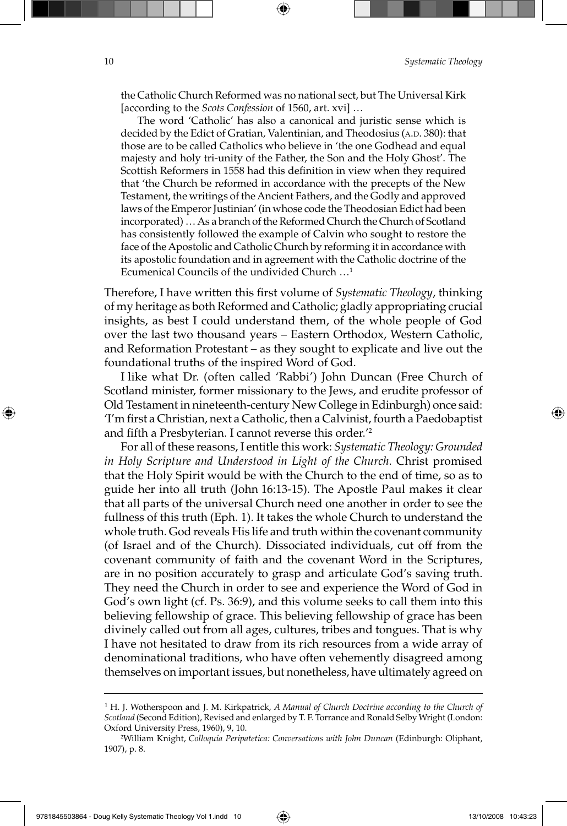the Catholic Church Reformed was no national sect, but The Universal Kirk [according to the *Scots Confession* of 1560, art. xvi] …

The word 'Catholic' has also a canonical and juristic sense which is decided by the Edict of Gratian, Valentinian, and Theodosius (A.D. 380): that those are to be called Catholics who believe in 'the one Godhead and equal majesty and holy tri-unity of the Father, the Son and the Holy Ghost'. The Scottish Reformers in 1558 had this definition in view when they required that 'the Church be reformed in accordance with the precepts of the New Testament, the writings of the Ancient Fathers, and the Godly and approved laws of the Emperor Justinian' (in whose code the Theodosian Edict had been incorporated) … As a branch of the Reformed Church the Church of Scotland has consistently followed the example of Calvin who sought to restore the face of the Apostolic and Catholic Church by reforming it in accordance with its apostolic foundation and in agreement with the Catholic doctrine of the Ecumenical Councils of the undivided Church …1

Therefore, I have written this first volume of *Systematic Theology*, thinking of my heritage as both Reformed and Catholic; gladly appropriating crucial insights, as best I could understand them, of the whole people of God over the last two thousand years – Eastern Orthodox, Western Catholic, and Reformation Protestant – as they sought to explicate and live out the foundational truths of the inspired Word of God.

I like what Dr. (often called 'Rabbi') John Duncan (Free Church of Scotland minister, former missionary to the Jews, and erudite professor of Old Testament in nineteenth-century New College in Edinburgh) once said: 'I'm first a Christian, next a Catholic, then a Calvinist, fourth a Paedobaptist and fifth a Presbyterian. I cannot reverse this order.<sup>'2</sup>

For all of these reasons, I entitle this work: *Systematic Theology: Grounded in Holy Scripture and Understood in Light of the Church*. Christ promised that the Holy Spirit would be with the Church to the end of time, so as to guide her into all truth (John 16:13-15). The Apostle Paul makes it clear that all parts of the universal Church need one another in order to see the fullness of this truth (Eph. 1). It takes the whole Church to understand the whole truth. God reveals His life and truth within the covenant community (of Israel and of the Church). Dissociated individuals, cut off from the covenant community of faith and the covenant Word in the Scriptures, are in no position accurately to grasp and articulate God's saving truth. They need the Church in order to see and experience the Word of God in God's own light (cf. Ps. 36:9), and this volume seeks to call them into this believing fellowship of grace. This believing fellowship of grace has been divinely called out from all ages, cultures, tribes and tongues. That is why I have not hesitated to draw from its rich resources from a wide array of denominational traditions, who have often vehemently disagreed among themselves on important issues, but nonetheless, have ultimately agreed on

 <sup>1</sup> H. J. Wotherspoon and J. M. Kirkpatrick, *A Manual of Church Doctrine according to the Church of Scotland* (Second Edition), Revised and enlarged by T. F. Torrance and Ronald Selby Wright (London: Oxford University Press, 1960), 9, 10.

<sup>2</sup> William Knight, *Colloquia Peripatetica: Conversations with John Duncan* (Edinburgh: Oliphant, 1907), p. 8.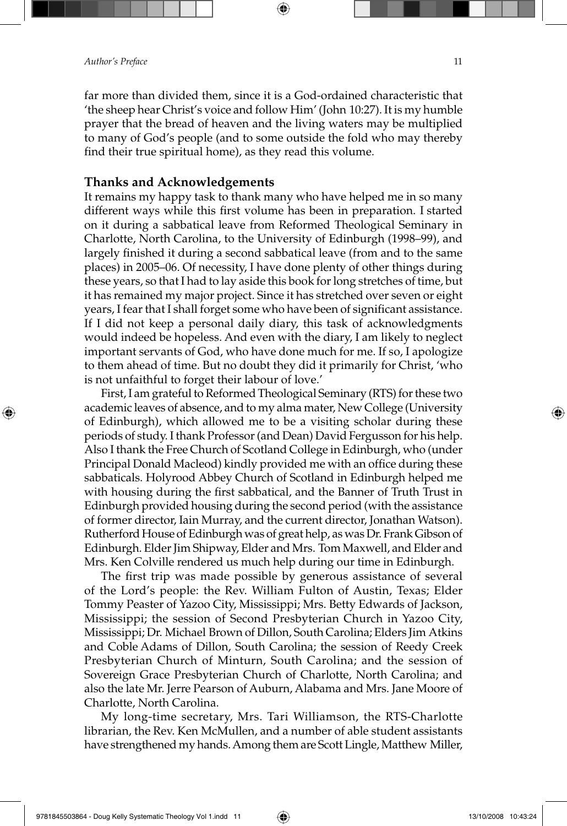#### *Author's Preface* 11

⊕

far more than divided them, since it is a God-ordained characteristic that 'the sheep hear Christ's voice and follow Him' (John 10:27). It is my humble prayer that the bread of heaven and the living waters may be multiplied to many of God's people (and to some outside the fold who may thereby find their true spiritual home), as they read this volume.

#### **Thanks and Acknowledgements**

It remains my happy task to thank many who have helped me in so many different ways while this first volume has been in preparation. I started on it during a sabbatical leave from Reformed Theological Seminary in Charlotte, North Carolina, to the University of Edinburgh (1998–99), and largely finished it during a second sabbatical leave (from and to the same places) in 2005–06. Of necessity, I have done plenty of other things during these years, so that I had to lay aside this book for long stretches of time, but it has remained my major project. Since it has stretched over seven or eight years, I fear that I shall forget some who have been of significant assistance. If I did not keep a personal daily diary, this task of acknowledgments would indeed be hopeless. And even with the diary, I am likely to neglect important servants of God, who have done much for me. If so, I apologize to them ahead of time. But no doubt they did it primarily for Christ, 'who is not unfaithful to forget their labour of love.'

First, I am grateful to Reformed Theological Seminary (RTS) for these two academic leaves of absence, and to my alma mater, New College (University of Edinburgh), which allowed me to be a visiting scholar during these periods of study. I thank Professor (and Dean) David Fergusson for his help. Also I thank the Free Church of Scotland College in Edinburgh, who (under Principal Donald Macleod) kindly provided me with an office during these sabbaticals. Holyrood Abbey Church of Scotland in Edinburgh helped me with housing during the first sabbatical, and the Banner of Truth Trust in Edinburgh provided housing during the second period (with the assistance of former director, Iain Murray, and the current director, Jonathan Watson). Rutherford House of Edinburgh was of great help, as was Dr. Frank Gibson of Edinburgh. Elder Jim Shipway, Elder and Mrs. Tom Maxwell, and Elder and Mrs. Ken Colville rendered us much help during our time in Edinburgh.

The first trip was made possible by generous assistance of several of the Lord's people: the Rev. William Fulton of Austin, Texas; Elder Tommy Peaster of Yazoo City, Mississippi; Mrs. Betty Edwards of Jackson, Mississippi; the session of Second Presbyterian Church in Yazoo City, Mississippi; Dr. Michael Brown of Dillon, South Carolina; Elders Jim Atkins and Coble Adams of Dillon, South Carolina; the session of Reedy Creek Presbyterian Church of Minturn, South Carolina; and the session of Sovereign Grace Presbyterian Church of Charlotte, North Carolina; and also the late Mr. Jerre Pearson of Auburn, Alabama and Mrs. Jane Moore of Charlotte, North Carolina.

My long-time secretary, Mrs. Tari Williamson, the RTS-Charlotte librarian, the Rev. Ken McMullen, and a number of able student assistants have strengthened my hands. Among them are Scott Lingle, Matthew Miller,

9781845503864 - Doug Kelly Systematic Theology Vol 1.indd 11  $\bigoplus$  781845503864 13/10/2008 10:43:24